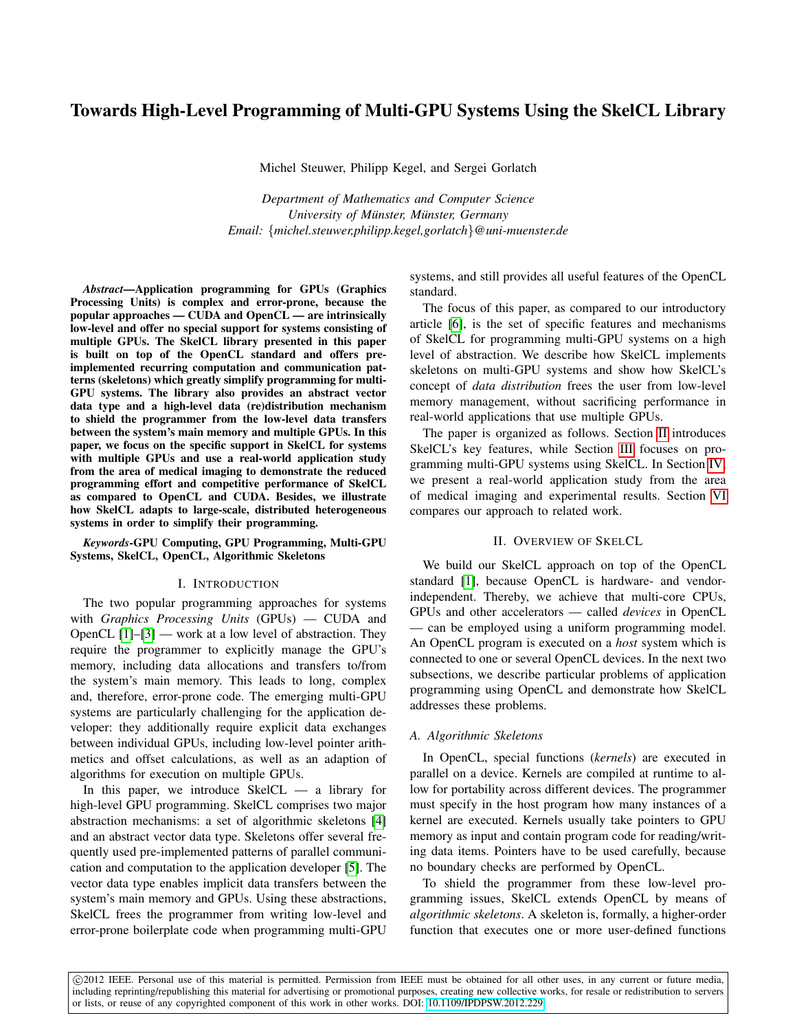# Towards High-Level Programming of Multi-GPU Systems Using the SkelCL Library

Michel Steuwer, Philipp Kegel, and Sergei Gorlatch

*Department of Mathematics and Computer Science University of Münster, Münster, Germany Email:* {*michel.steuwer,philipp.kegel,gorlatch*}*@uni-muenster.de*

*Abstract*—Application programming for GPUs (Graphics Processing Units) is complex and error-prone, because the popular approaches — CUDA and OpenCL — are intrinsically low-level and offer no special support for systems consisting of multiple GPUs. The SkelCL library presented in this paper is built on top of the OpenCL standard and offers preimplemented recurring computation and communication patterns (skeletons) which greatly simplify programming for multi-GPU systems. The library also provides an abstract vector data type and a high-level data (re)distribution mechanism to shield the programmer from the low-level data transfers between the system's main memory and multiple GPUs. In this paper, we focus on the specific support in SkelCL for systems with multiple GPUs and use a real-world application study from the area of medical imaging to demonstrate the reduced programming effort and competitive performance of SkelCL as compared to OpenCL and CUDA. Besides, we illustrate how SkelCL adapts to large-scale, distributed heterogeneous systems in order to simplify their programming.

*Keywords*-GPU Computing, GPU Programming, Multi-GPU Systems, SkelCL, OpenCL, Algorithmic Skeletons

#### I. INTRODUCTION

The two popular programming approaches for systems with *Graphics Processing Units* (GPUs) — CUDA and OpenCL [\[1\]](#page-7-0)–[\[3\]](#page-7-1) — work at a low level of abstraction. They require the programmer to explicitly manage the GPU's memory, including data allocations and transfers to/from the system's main memory. This leads to long, complex and, therefore, error-prone code. The emerging multi-GPU systems are particularly challenging for the application developer: they additionally require explicit data exchanges between individual GPUs, including low-level pointer arithmetics and offset calculations, as well as an adaption of algorithms for execution on multiple GPUs.

In this paper, we introduce  $SkelCL$  — a library for high-level GPU programming. SkelCL comprises two major abstraction mechanisms: a set of algorithmic skeletons [\[4\]](#page-7-2) and an abstract vector data type. Skeletons offer several frequently used pre-implemented patterns of parallel communication and computation to the application developer [\[5\]](#page-7-3). The vector data type enables implicit data transfers between the system's main memory and GPUs. Using these abstractions, SkelCL frees the programmer from writing low-level and error-prone boilerplate code when programming multi-GPU systems, and still provides all useful features of the OpenCL standard.

The focus of this paper, as compared to our introductory article [\[6\]](#page-7-4), is the set of specific features and mechanisms of SkelCL for programming multi-GPU systems on a high level of abstraction. We describe how SkelCL implements skeletons on multi-GPU systems and show how SkelCL's concept of *data distribution* frees the user from low-level memory management, without sacrificing performance in real-world applications that use multiple GPUs.

The paper is organized as follows. Section [II](#page-0-0) introduces SkelCL's key features, while Section [III](#page-2-0) focuses on programming multi-GPU systems using SkelCL. In Section [IV,](#page-3-0) we present a real-world application study from the area of medical imaging and experimental results. Section [VI](#page-6-0) compares our approach to related work.

## II. OVERVIEW OF SKELCL

<span id="page-0-0"></span>We build our SkelCL approach on top of the OpenCL standard [\[1\]](#page-7-0), because OpenCL is hardware- and vendorindependent. Thereby, we achieve that multi-core CPUs, GPUs and other accelerators — called *devices* in OpenCL — can be employed using a uniform programming model. An OpenCL program is executed on a *host* system which is connected to one or several OpenCL devices. In the next two subsections, we describe particular problems of application programming using OpenCL and demonstrate how SkelCL addresses these problems.

## *A. Algorithmic Skeletons*

In OpenCL, special functions (*kernels*) are executed in parallel on a device. Kernels are compiled at runtime to allow for portability across different devices. The programmer must specify in the host program how many instances of a kernel are executed. Kernels usually take pointers to GPU memory as input and contain program code for reading/writing data items. Pointers have to be used carefully, because no boundary checks are performed by OpenCL.

To shield the programmer from these low-level programming issues, SkelCL extends OpenCL by means of *algorithmic skeletons*. A skeleton is, formally, a higher-order function that executes one or more user-defined functions

 c 2012 IEEE. Personal use of this material is permitted. Permission from IEEE must be obtained for all other uses, in any current or future media, including reprinting/republishing this material for advertising or promotional purposes, creating new collective works, for resale or redistribution to servers or lists, or reuse of any copyrighted component of this work in other works. DOI: [10.1109/IPDPSW.2012.229](http://dx.doi.org/10.1109/IPDPSW.2012.229)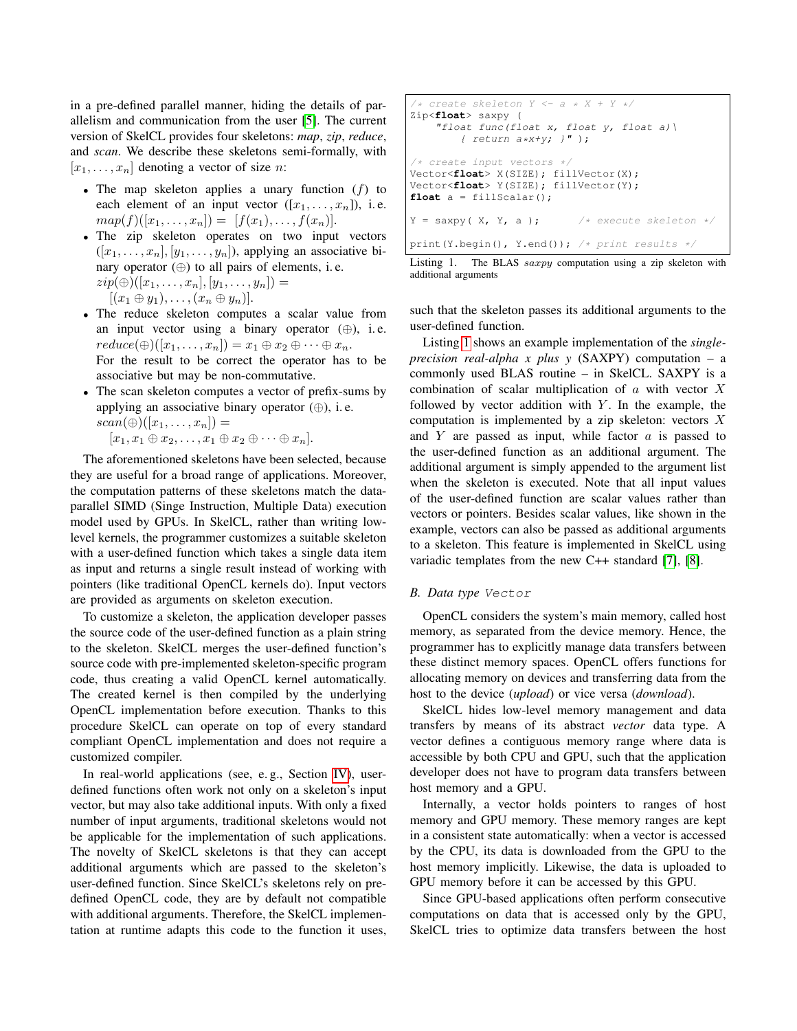in a pre-defined parallel manner, hiding the details of parallelism and communication from the user [\[5\]](#page-7-3). The current version of SkelCL provides four skeletons: *map*, *zip*, *reduce*, and *scan*. We describe these skeletons semi-formally, with  $[x_1, \ldots, x_n]$  denoting a vector of size n:

- The map skeleton applies a unary function  $(f)$  to each element of an input vector  $([x_1, \ldots, x_n])$ , i.e.  $map(f)([x_1, \ldots, x_n]) = [f(x_1), \ldots, f(x_n)].$
- The zip skeleton operates on two input vectors  $([x_1, \ldots, x_n], [y_1, \ldots, y_n])$ , applying an associative binary operator  $(\oplus)$  to all pairs of elements, i.e.  $zip(\oplus)([x_1, \ldots, x_n], [y_1, \ldots, y_n]) =$  $[(x_1 \oplus y_1), \ldots, (x_n \oplus y_n)].$
- The reduce skeleton computes a scalar value from an input vector using a binary operator  $(\oplus)$ , i.e.  $reduce(\oplus)([x_1, \ldots, x_n]) = x_1 \oplus x_2 \oplus \cdots \oplus x_n.$ For the result to be correct the operator has to be associative but may be non-commutative.
- The scan skeleton computes a vector of prefix-sums by applying an associative binary operator (⊕), i. e.  $scan(\oplus)([x_1,\ldots,x_n]) =$

```
[x_1, x_1 \oplus x_2, \ldots, x_1 \oplus x_2 \oplus \cdots \oplus x_n].
```
The aforementioned skeletons have been selected, because they are useful for a broad range of applications. Moreover, the computation patterns of these skeletons match the dataparallel SIMD (Singe Instruction, Multiple Data) execution model used by GPUs. In SkelCL, rather than writing lowlevel kernels, the programmer customizes a suitable skeleton with a user-defined function which takes a single data item as input and returns a single result instead of working with pointers (like traditional OpenCL kernels do). Input vectors are provided as arguments on skeleton execution.

To customize a skeleton, the application developer passes the source code of the user-defined function as a plain string to the skeleton. SkelCL merges the user-defined function's source code with pre-implemented skeleton-specific program code, thus creating a valid OpenCL kernel automatically. The created kernel is then compiled by the underlying OpenCL implementation before execution. Thanks to this procedure SkelCL can operate on top of every standard compliant OpenCL implementation and does not require a customized compiler.

In real-world applications (see, e. g., Section [IV\)](#page-3-0), userdefined functions often work not only on a skeleton's input vector, but may also take additional inputs. With only a fixed number of input arguments, traditional skeletons would not be applicable for the implementation of such applications. The novelty of SkelCL skeletons is that they can accept additional arguments which are passed to the skeleton's user-defined function. Since SkelCL's skeletons rely on predefined OpenCL code, they are by default not compatible with additional arguments. Therefore, the SkelCL implementation at runtime adapts this code to the function it uses,

<span id="page-1-0"></span>

| $/*$ create skeleton Y <- a * X + Y */<br>Zip <float> saxpy (</float>                                                                                          |
|----------------------------------------------------------------------------------------------------------------------------------------------------------------|
| "float func(float x, float y, float a)\<br>{ return $a*x+y;$ }" };                                                                                             |
| $/*$ create input vectors */<br>Vector< $\text{float}>X(SIZE);$ fillVector(X);<br>Vector< $\text{float}>Y(SIZE);$ fillVector(Y);<br>float $a = fillScalar()$ ; |
| $Y =$ saxpy(X, Y, a); $\frac{1}{x}$ execute skeleton $\frac{x}{x}$                                                                                             |
| $ print(Y.\text{begin}(), Y.\text{end})), \forall * print \text{results} */$                                                                                   |

Listing 1. The BLAS saxpy computation using a zip skeleton with additional arguments

such that the skeleton passes its additional arguments to the user-defined function.

Listing [1](#page-1-0) shows an example implementation of the *singleprecision real-alpha x plus y* (SAXPY) computation – a commonly used BLAS routine – in SkelCL. SAXPY is a combination of scalar multiplication of a with vector X followed by vector addition with  $Y$ . In the example, the computation is implemented by a zip skeleton: vectors X and  $Y$  are passed as input, while factor  $a$  is passed to the user-defined function as an additional argument. The additional argument is simply appended to the argument list when the skeleton is executed. Note that all input values of the user-defined function are scalar values rather than vectors or pointers. Besides scalar values, like shown in the example, vectors can also be passed as additional arguments to a skeleton. This feature is implemented in SkelCL using variadic templates from the new C++ standard [\[7\]](#page-7-5), [\[8\]](#page-7-6).

# *B. Data type* Vector

OpenCL considers the system's main memory, called host memory, as separated from the device memory. Hence, the programmer has to explicitly manage data transfers between these distinct memory spaces. OpenCL offers functions for allocating memory on devices and transferring data from the host to the device (*upload*) or vice versa (*download*).

SkelCL hides low-level memory management and data transfers by means of its abstract *vector* data type. A vector defines a contiguous memory range where data is accessible by both CPU and GPU, such that the application developer does not have to program data transfers between host memory and a GPU.

Internally, a vector holds pointers to ranges of host memory and GPU memory. These memory ranges are kept in a consistent state automatically: when a vector is accessed by the CPU, its data is downloaded from the GPU to the host memory implicitly. Likewise, the data is uploaded to GPU memory before it can be accessed by this GPU.

Since GPU-based applications often perform consecutive computations on data that is accessed only by the GPU, SkelCL tries to optimize data transfers between the host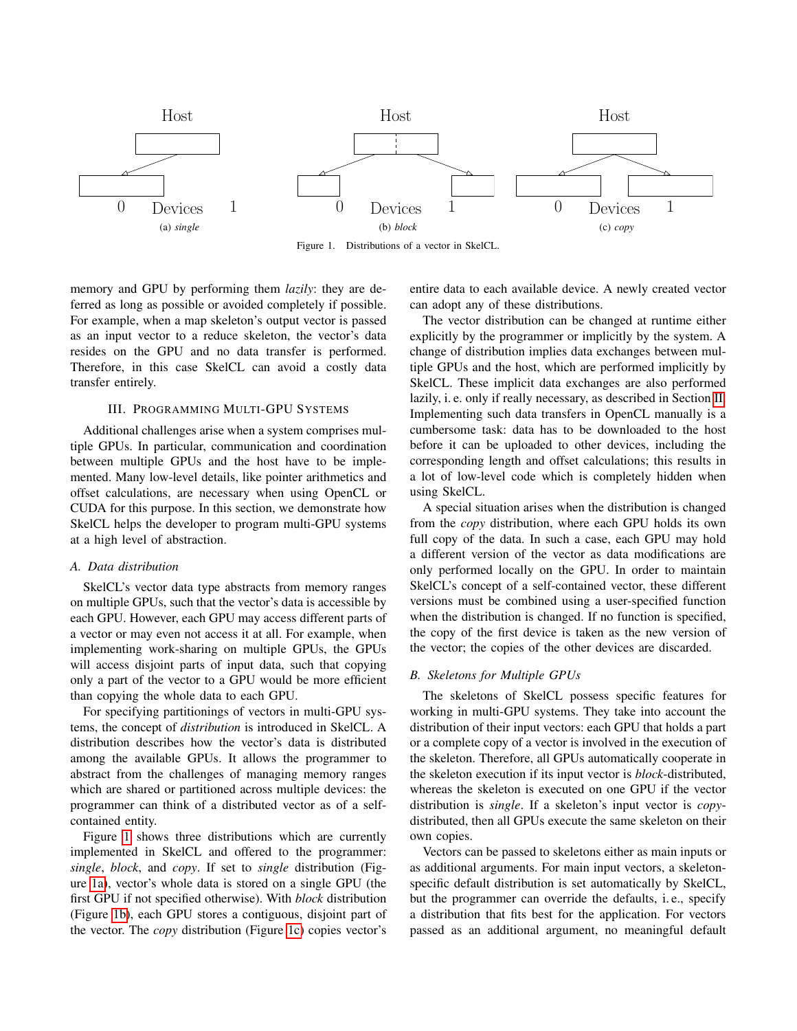<span id="page-2-2"></span>

<span id="page-2-3"></span><span id="page-2-1"></span>Figure 1. Distributions of a vector in SkelCL.

memory and GPU by performing them *lazily*: they are deferred as long as possible or avoided completely if possible. For example, when a map skeleton's output vector is passed as an input vector to a reduce skeleton, the vector's data resides on the GPU and no data transfer is performed. Therefore, in this case SkelCL can avoid a costly data transfer entirely.

# III. PROGRAMMING MULTI-GPU SYSTEMS

<span id="page-2-0"></span>Additional challenges arise when a system comprises multiple GPUs. In particular, communication and coordination between multiple GPUs and the host have to be implemented. Many low-level details, like pointer arithmetics and offset calculations, are necessary when using OpenCL or CUDA for this purpose. In this section, we demonstrate how SkelCL helps the developer to program multi-GPU systems at a high level of abstraction.

## *A. Data distribution*

SkelCL's vector data type abstracts from memory ranges on multiple GPUs, such that the vector's data is accessible by each GPU. However, each GPU may access different parts of a vector or may even not access it at all. For example, when implementing work-sharing on multiple GPUs, the GPUs will access disjoint parts of input data, such that copying only a part of the vector to a GPU would be more efficient than copying the whole data to each GPU.

For specifying partitionings of vectors in multi-GPU systems, the concept of *distribution* is introduced in SkelCL. A distribution describes how the vector's data is distributed among the available GPUs. It allows the programmer to abstract from the challenges of managing memory ranges which are shared or partitioned across multiple devices: the programmer can think of a distributed vector as of a selfcontained entity.

Figure [1](#page-2-1) shows three distributions which are currently implemented in SkelCL and offered to the programmer: *single*, *block*, and *copy*. If set to *single* distribution (Figure [1a\)](#page-2-2), vector's whole data is stored on a single GPU (the first GPU if not specified otherwise). With *block* distribution (Figure [1b\)](#page-2-3), each GPU stores a contiguous, disjoint part of the vector. The *copy* distribution (Figure [1c\)](#page-2-4) copies vector's <span id="page-2-4"></span>entire data to each available device. A newly created vector can adopt any of these distributions.

The vector distribution can be changed at runtime either explicitly by the programmer or implicitly by the system. A change of distribution implies data exchanges between multiple GPUs and the host, which are performed implicitly by SkelCL. These implicit data exchanges are also performed lazily, i. e. only if really necessary, as described in Section [II.](#page-0-0) Implementing such data transfers in OpenCL manually is a cumbersome task: data has to be downloaded to the host before it can be uploaded to other devices, including the corresponding length and offset calculations; this results in a lot of low-level code which is completely hidden when using SkelCL.

A special situation arises when the distribution is changed from the *copy* distribution, where each GPU holds its own full copy of the data. In such a case, each GPU may hold a different version of the vector as data modifications are only performed locally on the GPU. In order to maintain SkelCL's concept of a self-contained vector, these different versions must be combined using a user-specified function when the distribution is changed. If no function is specified, the copy of the first device is taken as the new version of the vector; the copies of the other devices are discarded.

## *B. Skeletons for Multiple GPUs*

The skeletons of SkelCL possess specific features for working in multi-GPU systems. They take into account the distribution of their input vectors: each GPU that holds a part or a complete copy of a vector is involved in the execution of the skeleton. Therefore, all GPUs automatically cooperate in the skeleton execution if its input vector is *block*-distributed, whereas the skeleton is executed on one GPU if the vector distribution is *single*. If a skeleton's input vector is *copy*distributed, then all GPUs execute the same skeleton on their own copies.

Vectors can be passed to skeletons either as main inputs or as additional arguments. For main input vectors, a skeletonspecific default distribution is set automatically by SkelCL, but the programmer can override the defaults, i. e., specify a distribution that fits best for the application. For vectors passed as an additional argument, no meaningful default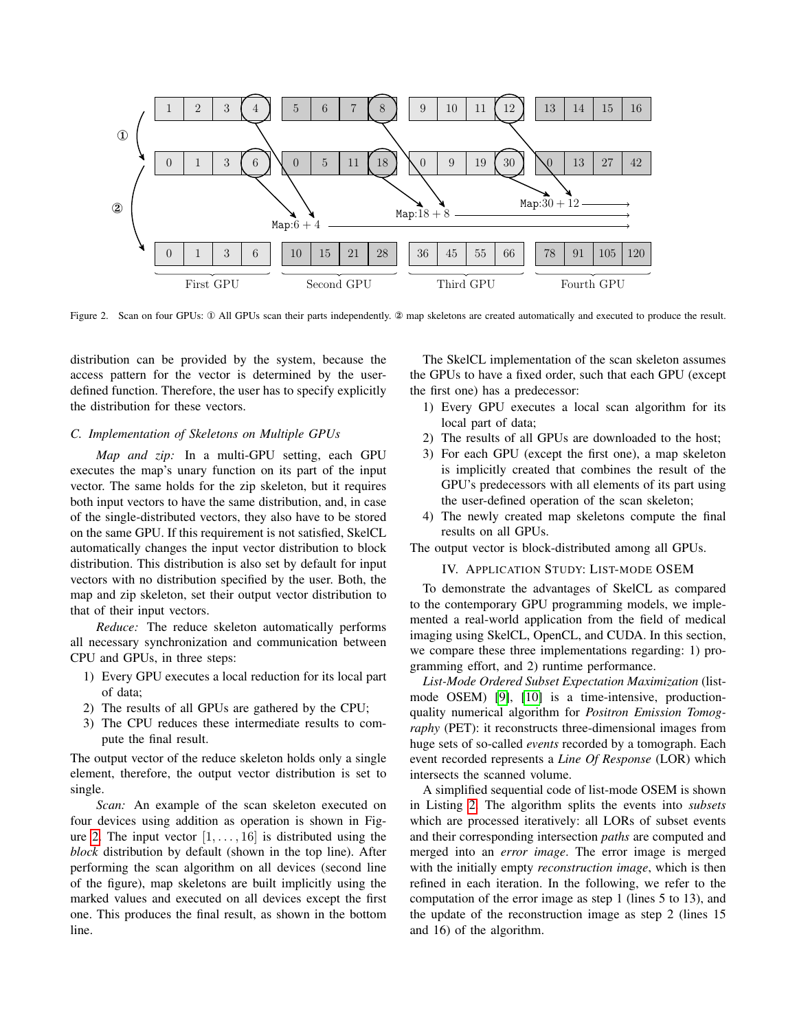

<span id="page-3-1"></span>Figure 2. Scan on four GPUs:  $\odot$  All GPUs scan their parts independently.  $\oslash$  map skeletons are created automatically and executed to produce the result.

distribution can be provided by the system, because the access pattern for the vector is determined by the userdefined function. Therefore, the user has to specify explicitly the distribution for these vectors.

# <span id="page-3-2"></span>*C. Implementation of Skeletons on Multiple GPUs*

*Map and zip:* In a multi-GPU setting, each GPU executes the map's unary function on its part of the input vector. The same holds for the zip skeleton, but it requires both input vectors to have the same distribution, and, in case of the single-distributed vectors, they also have to be stored on the same GPU. If this requirement is not satisfied, SkelCL automatically changes the input vector distribution to block distribution. This distribution is also set by default for input vectors with no distribution specified by the user. Both, the map and zip skeleton, set their output vector distribution to that of their input vectors.

*Reduce:* The reduce skeleton automatically performs all necessary synchronization and communication between CPU and GPUs, in three steps:

- 1) Every GPU executes a local reduction for its local part of data;
- 2) The results of all GPUs are gathered by the CPU;
- 3) The CPU reduces these intermediate results to compute the final result.

The output vector of the reduce skeleton holds only a single element, therefore, the output vector distribution is set to single.

*Scan:* An example of the scan skeleton executed on four devices using addition as operation is shown in Fig-ure [2.](#page-3-1) The input vector  $[1, \ldots, 16]$  is distributed using the *block* distribution by default (shown in the top line). After performing the scan algorithm on all devices (second line of the figure), map skeletons are built implicitly using the marked values and executed on all devices except the first one. This produces the final result, as shown in the bottom line.

The SkelCL implementation of the scan skeleton assumes the GPUs to have a fixed order, such that each GPU (except the first one) has a predecessor:

- 1) Every GPU executes a local scan algorithm for its local part of data;
- 2) The results of all GPUs are downloaded to the host;
- 3) For each GPU (except the first one), a map skeleton is implicitly created that combines the result of the GPU's predecessors with all elements of its part using the user-defined operation of the scan skeleton;
- 4) The newly created map skeletons compute the final results on all GPUs.

<span id="page-3-0"></span>The output vector is block-distributed among all GPUs.

#### IV. APPLICATION STUDY: LIST-MODE OSEM

To demonstrate the advantages of SkelCL as compared to the contemporary GPU programming models, we implemented a real-world application from the field of medical imaging using SkelCL, OpenCL, and CUDA. In this section, we compare these three implementations regarding: 1) programming effort, and 2) runtime performance.

*List-Mode Ordered Subset Expectation Maximization* (listmode OSEM) [\[9\]](#page-7-7), [\[10\]](#page-7-8) is a time-intensive, productionquality numerical algorithm for *Positron Emission Tomography* (PET): it reconstructs three-dimensional images from huge sets of so-called *events* recorded by a tomograph. Each event recorded represents a *Line Of Response* (LOR) which intersects the scanned volume.

A simplified sequential code of list-mode OSEM is shown in Listing [2.](#page-4-0) The algorithm splits the events into *subsets* which are processed iteratively: all LORs of subset events and their corresponding intersection *paths* are computed and merged into an *error image*. The error image is merged with the initially empty *reconstruction image*, which is then refined in each iteration. In the following, we refer to the computation of the error image as step 1 (lines 5 to 13), and the update of the reconstruction image as step 2 (lines 15 and 16) of the algorithm.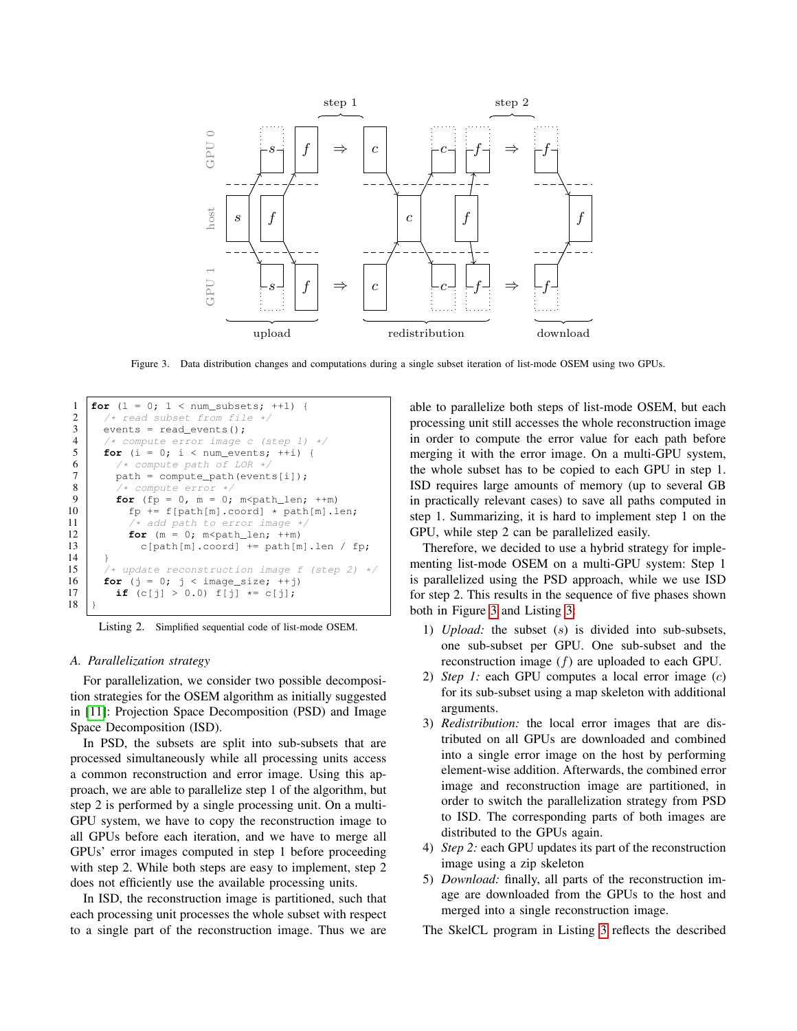

<span id="page-4-1"></span>Figure 3. Data distribution changes and computations during a single subset iteration of list-mode OSEM using two GPUs.

```
1 \mid \text{for} \quad (1 = 0; 1 < \text{num\_subsets}; ++1)\begin{array}{c|c} 2 & \rightarrow & \text{read subset from file} \\ 3 & \text{events} = \text{read_events();} \end{array}\begin{array}{c|c} 3 & \text{events} = \text{read\_events} \end{array}<br>4 /* compute error image
 4 /* compute error image c (step 1) */<br>5 for (i = 0; i < num_events; ++i) {
 5 for (i = 0; i < num_events; ++i) {<br>6 /* compute path of LOR */6 \left\{\n\begin{array}{ccc}\n\star & \text{compute path of } \text{LOR} & \star\n\end{array}\n\right\}7 path = compute_path(events[i]);<br>8 /* compute error */
 \begin{array}{c|c} 8 & \times & \text{compute error} \\ 9 & \text{for (fp = 0. m = 0)} \end{array}for (fp = 0, m = 0; m <i>path_length</i> ++m)
10 fp += f[path[m].coord] \star path[m].len;<br>11 /* add path to error image \star/
11 \vert x \vert /* add path to error image */<br>12 for (m = 0; m<path len; ++m)
                   for (m = 0; m<sub>path_length</sub>; ++m)13 c[path[m].coord] += path[m].len / fp;
14 }
15 /* update reconstruction image f (step 2)<br>16 for (i = 0: j < image size: +i)16 for (j = 0; j < image_size; ++j)<br>17 if (c[i] > 0, 0) f[i] * = c[i]if (c[j] > 0.0) f[j] \neq c[j];
18 }
```
Listing 2. Simplified sequential code of list-mode OSEM.

# *A. Parallelization strategy*

For parallelization, we consider two possible decomposition strategies for the OSEM algorithm as initially suggested in [\[11\]](#page-7-9): Projection Space Decomposition (PSD) and Image Space Decomposition (ISD).

In PSD, the subsets are split into sub-subsets that are processed simultaneously while all processing units access a common reconstruction and error image. Using this approach, we are able to parallelize step 1 of the algorithm, but step 2 is performed by a single processing unit. On a multi-GPU system, we have to copy the reconstruction image to all GPUs before each iteration, and we have to merge all GPUs' error images computed in step 1 before proceeding with step 2. While both steps are easy to implement, step 2. does not efficiently use the available processing units.

In ISD, the reconstruction image is partitioned, such that each processing unit processes the whole subset with respect to a single part of the reconstruction image. Thus we are able to parallelize both steps of list-mode OSEM, but each processing unit still accesses the whole reconstruction image in order to compute the error value for each path before merging it with the error image. On a multi-GPU system, the whole subset has to be copied to each GPU in step 1. ISD requires large amounts of memory (up to several GB in practically relevant cases) to save all paths computed in step 1. Summarizing, it is hard to implement step 1 on the GPU, while step 2 can be parallelized easily.

Therefore, we decided to use a hybrid strategy for implementing list-mode OSEM on a multi-GPU system: Step 1 is parallelized using the PSD approach, while we use ISD for step 2. This results in the sequence of five phases shown both in Figure [3](#page-4-1) and Listing [3:](#page-5-0)

- 1) *Upload:* the subset (s) is divided into sub-subsets, one sub-subset per GPU. One sub-subset and the reconstruction image  $(f)$  are uploaded to each GPU.
- 2) *Step 1:* each GPU computes a local error image (c) for its sub-subset using a map skeleton with additional arguments.
- 3) *Redistribution:* the local error images that are distributed on all GPUs are downloaded and combined into a single error image on the host by performing element-wise addition. Afterwards, the combined error image and reconstruction image are partitioned, in order to switch the parallelization strategy from PSD to ISD. The corresponding parts of both images are distributed to the GPUs again.
- 4) *Step 2:* each GPU updates its part of the reconstruction image using a zip skeleton
- 5) *Download:* finally, all parts of the reconstruction image are downloaded from the GPUs to the host and merged into a single reconstruction image.

The SkelCL program in Listing [3](#page-5-0) reflects the described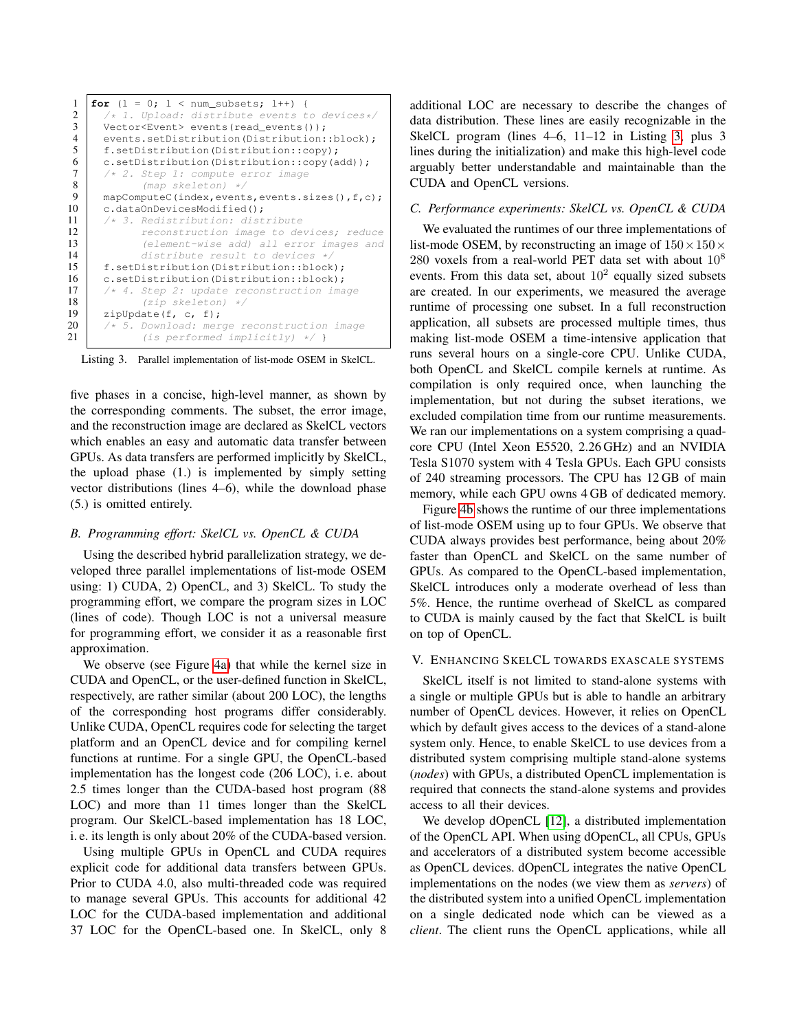<span id="page-5-0"></span>

| 1              | <b>for</b> $(1 = 0; 1 < \text{num}$ subsets; $1++$ ) { |
|----------------|--------------------------------------------------------|
| 2              | $/* 1.$ Upload: distribute events to devices*/         |
| 3              | Vector <event> events (read_events());</event>         |
| $\overline{4}$ | events.setDistribution(Distribution::block);           |
| 5              | f.setDistribution(Distribution::copy);                 |
| 6              | c.setDistribution(Distribution::copy(add));            |
| 7              | $/* 2. Step 1: compute error image$                    |
| 8              | $(map \; skeleton)$ */                                 |
| 9              | mapComputeC(index, events, events. sizes(), f, c);     |
| 10             | c.dataOnDevicesModified();                             |
| 11             | /* 3. Redistribution: distribute                       |
| 12             | reconstruction image to devices; reduce                |
| 13             | (element-wise add) all error images and                |
| 14             | distribute result to devices */                        |
| 15             | f.setDistribution(Distribution::block);                |
| 16             | c.setDistribution(Distribution::block);                |
| 17             | $/* 4.$ Step 2: update reconstruction image            |
| 18             | $(zip skeleton)$ */                                    |
| 19             | zipUpdate $(f, c, f)$ ;                                |
| 20             | $\neq$ 5. Download: merge reconstruction image         |
| 21             | $(is performed implicitly) */$                         |
|                |                                                        |

Listing 3. Parallel implementation of list-mode OSEM in SkelCL.

five phases in a concise, high-level manner, as shown by the corresponding comments. The subset, the error image, and the reconstruction image are declared as SkelCL vectors which enables an easy and automatic data transfer between GPUs. As data transfers are performed implicitly by SkelCL, the upload phase (1.) is implemented by simply setting vector distributions (lines 4–6), while the download phase (5.) is omitted entirely.

## *B. Programming effort: SkelCL vs. OpenCL & CUDA*

Using the described hybrid parallelization strategy, we developed three parallel implementations of list-mode OSEM using: 1) CUDA, 2) OpenCL, and 3) SkelCL. To study the programming effort, we compare the program sizes in LOC (lines of code). Though LOC is not a universal measure for programming effort, we consider it as a reasonable first approximation.

We observe (see Figure [4a\)](#page-6-1) that while the kernel size in CUDA and OpenCL, or the user-defined function in SkelCL, respectively, are rather similar (about 200 LOC), the lengths of the corresponding host programs differ considerably. Unlike CUDA, OpenCL requires code for selecting the target platform and an OpenCL device and for compiling kernel functions at runtime. For a single GPU, the OpenCL-based implementation has the longest code (206 LOC), i. e. about 2.5 times longer than the CUDA-based host program (88 LOC) and more than 11 times longer than the SkelCL program. Our SkelCL-based implementation has 18 LOC, i. e. its length is only about 20% of the CUDA-based version.

Using multiple GPUs in OpenCL and CUDA requires explicit code for additional data transfers between GPUs. Prior to CUDA 4.0, also multi-threaded code was required to manage several GPUs. This accounts for additional 42 LOC for the CUDA-based implementation and additional 37 LOC for the OpenCL-based one. In SkelCL, only 8 additional LOC are necessary to describe the changes of data distribution. These lines are easily recognizable in the SkelCL program (lines 4–6, 11–12 in Listing [3,](#page-5-0) plus 3 lines during the initialization) and make this high-level code arguably better understandable and maintainable than the CUDA and OpenCL versions.

## <span id="page-5-1"></span>*C. Performance experiments: SkelCL vs. OpenCL & CUDA*

We evaluated the runtimes of our three implementations of list-mode OSEM, by reconstructing an image of  $150 \times 150 \times$ 280 voxels from a real-world PET data set with about  $10^8$ events. From this data set, about  $10^2$  equally sized subsets are created. In our experiments, we measured the average runtime of processing one subset. In a full reconstruction application, all subsets are processed multiple times, thus making list-mode OSEM a time-intensive application that runs several hours on a single-core CPU. Unlike CUDA, both OpenCL and SkelCL compile kernels at runtime. As compilation is only required once, when launching the implementation, but not during the subset iterations, we excluded compilation time from our runtime measurements. We ran our implementations on a system comprising a quadcore CPU (Intel Xeon E5520, 2.26 GHz) and an NVIDIA Tesla S1070 system with 4 Tesla GPUs. Each GPU consists of 240 streaming processors. The CPU has 12 GB of main memory, while each GPU owns 4 GB of dedicated memory.

Figure [4b](#page-6-2) shows the runtime of our three implementations of list-mode OSEM using up to four GPUs. We observe that CUDA always provides best performance, being about 20% faster than OpenCL and SkelCL on the same number of GPUs. As compared to the OpenCL-based implementation, SkelCL introduces only a moderate overhead of less than 5%. Hence, the runtime overhead of SkelCL as compared to CUDA is mainly caused by the fact that SkelCL is built on top of OpenCL.

# V. ENHANCING SKELCL TOWARDS EXASCALE SYSTEMS

SkelCL itself is not limited to stand-alone systems with a single or multiple GPUs but is able to handle an arbitrary number of OpenCL devices. However, it relies on OpenCL which by default gives access to the devices of a stand-alone system only. Hence, to enable SkelCL to use devices from a distributed system comprising multiple stand-alone systems (*nodes*) with GPUs, a distributed OpenCL implementation is required that connects the stand-alone systems and provides access to all their devices.

We develop dOpenCL [\[12\]](#page-7-10), a distributed implementation of the OpenCL API. When using dOpenCL, all CPUs, GPUs and accelerators of a distributed system become accessible as OpenCL devices. dOpenCL integrates the native OpenCL implementations on the nodes (we view them as *servers*) of the distributed system into a unified OpenCL implementation on a single dedicated node which can be viewed as a *client*. The client runs the OpenCL applications, while all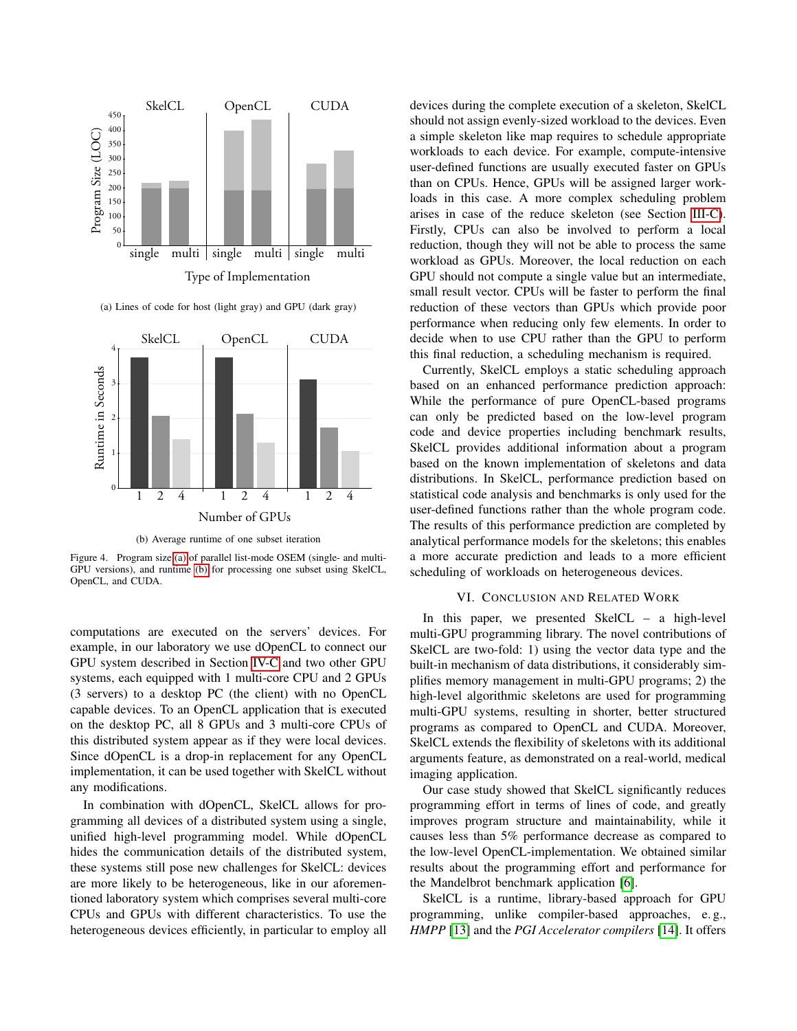<span id="page-6-1"></span>

(a) Lines of code for host (light gray) and GPU (dark gray)



(b) Average runtime of one subset iteration

<span id="page-6-2"></span>Figure 4. Program size [\(a\)](#page-6-1) of parallel list-mode OSEM (single- and multi-GPU versions), and runtime [\(b\)](#page-6-2) for processing one subset using SkelCL, OpenCL, and CUDA.

computations are executed on the servers' devices. For example, in our laboratory we use dOpenCL to connect our GPU system described in Section [IV-C](#page-5-1) and two other GPU systems, each equipped with 1 multi-core CPU and 2 GPUs (3 servers) to a desktop PC (the client) with no OpenCL capable devices. To an OpenCL application that is executed on the desktop PC, all 8 GPUs and 3 multi-core CPUs of this distributed system appear as if they were local devices. Since dOpenCL is a drop-in replacement for any OpenCL implementation, it can be used together with SkelCL without any modifications.

In combination with dOpenCL, SkelCL allows for programming all devices of a distributed system using a single, unified high-level programming model. While dOpenCL hides the communication details of the distributed system, these systems still pose new challenges for SkelCL: devices are more likely to be heterogeneous, like in our aforementioned laboratory system which comprises several multi-core CPUs and GPUs with different characteristics. To use the heterogeneous devices efficiently, in particular to employ all devices during the complete execution of a skeleton, SkelCL should not assign evenly-sized workload to the devices. Even a simple skeleton like map requires to schedule appropriate workloads to each device. For example, compute-intensive user-defined functions are usually executed faster on GPUs than on CPUs. Hence, GPUs will be assigned larger workloads in this case. A more complex scheduling problem arises in case of the reduce skeleton (see Section [III-C\)](#page-3-2). Firstly, CPUs can also be involved to perform a local reduction, though they will not be able to process the same workload as GPUs. Moreover, the local reduction on each GPU should not compute a single value but an intermediate, small result vector. CPUs will be faster to perform the final reduction of these vectors than GPUs which provide poor performance when reducing only few elements. In order to decide when to use CPU rather than the GPU to perform this final reduction, a scheduling mechanism is required.

Currently, SkelCL employs a static scheduling approach based on an enhanced performance prediction approach: While the performance of pure OpenCL-based programs can only be predicted based on the low-level program code and device properties including benchmark results, SkelCL provides additional information about a program based on the known implementation of skeletons and data distributions. In SkelCL, performance prediction based on statistical code analysis and benchmarks is only used for the user-defined functions rather than the whole program code. The results of this performance prediction are completed by analytical performance models for the skeletons; this enables a more accurate prediction and leads to a more efficient scheduling of workloads on heterogeneous devices.

#### VI. CONCLUSION AND RELATED WORK

<span id="page-6-0"></span>In this paper, we presented SkelCL – a high-level multi-GPU programming library. The novel contributions of SkelCL are two-fold: 1) using the vector data type and the built-in mechanism of data distributions, it considerably simplifies memory management in multi-GPU programs; 2) the high-level algorithmic skeletons are used for programming multi-GPU systems, resulting in shorter, better structured programs as compared to OpenCL and CUDA. Moreover, SkelCL extends the flexibility of skeletons with its additional arguments feature, as demonstrated on a real-world, medical imaging application.

Our case study showed that SkelCL significantly reduces programming effort in terms of lines of code, and greatly improves program structure and maintainability, while it causes less than 5% performance decrease as compared to the low-level OpenCL-implementation. We obtained similar results about the programming effort and performance for the Mandelbrot benchmark application [\[6\]](#page-7-4).

SkelCL is a runtime, library-based approach for GPU programming, unlike compiler-based approaches, e. g., *HMPP* [\[13\]](#page-7-11) and the *PGI Accelerator compilers* [\[14\]](#page-7-12). It offers